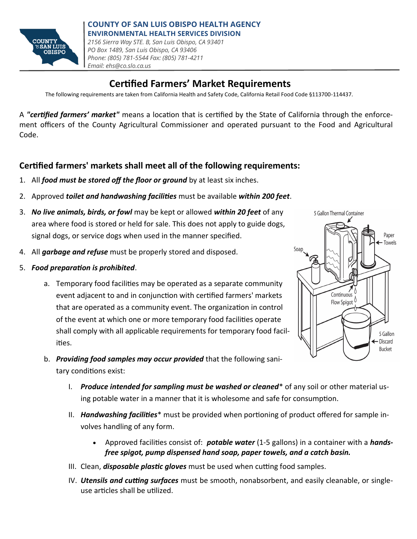

## **Certified Farmers' Market Requirements**

The following requirements are taken from California Health and Safety Code, California Retail Food Code §113700-114437.

A *"certified farmers' market"* means a location that is certified by the State of California through the enforcement officers of the County Agricultural Commissioner and operated pursuant to the Food and Agricultural Code.

### **Certified farmers' markets shall meet all of the following requirements:**

- 1. All *food must be stored off the floor or ground* by at least six inches.
- 2. Approved *toilet and handwashing facilities* must be available *within 200 feet*.
- 3. *No live animals, birds, or fowl* may be kept or allowed *within 20 feet* of any area where food is stored or held for sale. This does not apply to guide dogs, signal dogs, or service dogs when used in the manner specified.
- 4. All *garbage and refuse* must be properly stored and disposed.
- 5. *Food preparation is prohibited*.
	- a. Temporary food facilities may be operated as a separate community event adjacent to and in conjunction with certified farmers' markets that are operated as a community event. The organization in control of the event at which one or more temporary food facilities operate shall comply with all applicable requirements for temporary food facilities.



- b. *Providing food samples may occur provided* that the following sanitary conditions exist:
	- I. *Produce intended for sampling must be washed or cleaned*\* of any soil or other material using potable water in a manner that it is wholesome and safe for consumption.
	- II. *Handwashing facilities*\* must be provided when portioning of product offered for sample involves handling of any form.
		- Approved facilities consist of: *potable water* (1-5 gallons) in a container with a *handsfree spigot, pump dispensed hand soap, paper towels, and a catch basin.*
	- III. Clean, *disposable plastic gloves* must be used when cutting food samples.
	- IV. *Utensils and cutting surfaces* must be smooth, nonabsorbent, and easily cleanable, or singleuse articles shall be utilized.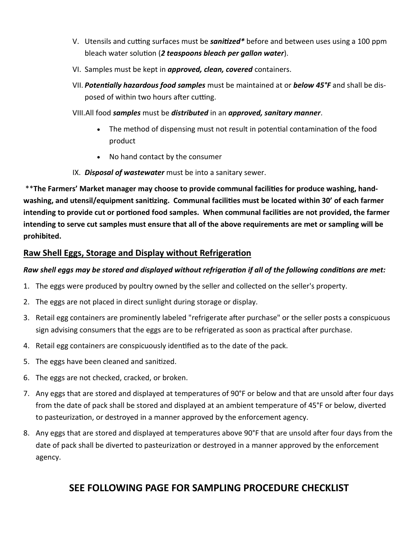- V. Utensils and cutting surfaces must be *sanitized\** before and between uses using a 100 ppm bleach water solution (*2 teaspoons bleach per gallon water*).
- VI. Samples must be kept in *approved, clean, covered* containers.
- VII. *Potentially hazardous food samples* must be maintained at or *below 45°F* and shall be disposed of within two hours after cutting.
- VIII.All food *samples* must be *distributed* in an *approved, sanitary manner*.
	- The method of dispensing must not result in potential contamination of the food product
	- No hand contact by the consumer
- IX. *Disposal of wastewater* must be into a sanitary sewer.

\*\***The Farmers' Market manager may choose to provide communal facilities for produce washing, handwashing, and utensil/equipment sanitizing. Communal facilities must be located within 30' of each farmer intending to provide cut or portioned food samples. When communal facilities are not provided, the farmer intending to serve cut samples must ensure that all of the above requirements are met or sampling will be prohibited.** 

#### **Raw Shell Eggs, Storage and Display without Refrigeration**

#### *Raw shell eggs may be stored and displayed without refrigeration if all of the following conditions are met:*

- 1. The eggs were produced by poultry owned by the seller and collected on the seller's property.
- 2. The eggs are not placed in direct sunlight during storage or display.
- 3. Retail egg containers are prominently labeled "refrigerate after purchase" or the seller posts a conspicuous sign advising consumers that the eggs are to be refrigerated as soon as practical after purchase.
- 4. Retail egg containers are conspicuously identified as to the date of the pack.
- 5. The eggs have been cleaned and sanitized.
- 6. The eggs are not checked, cracked, or broken.
- 7. Any eggs that are stored and displayed at temperatures of 90°F or below and that are unsold after four days from the date of pack shall be stored and displayed at an ambient temperature of 45°F or below, diverted to pasteurization, or destroyed in a manner approved by the enforcement agency.
- 8. Any eggs that are stored and displayed at temperatures above 90°F that are unsold after four days from the date of pack shall be diverted to pasteurization or destroyed in a manner approved by the enforcement agency.

## **SEE FOLLOWING PAGE FOR SAMPLING PROCEDURE CHECKLIST**